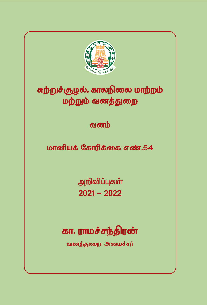

## சுற்றுச்சூழல், காலநிலை மாற்றம் மற்றும் வனத்துறை

## வனம்

மானியக் கோரிக்கை எண்.54

அறிவிப்புகள்  $2021 - 2022$ 

## கா. ராமச்சந்திரன்

வனத்துறை அமைச்சர்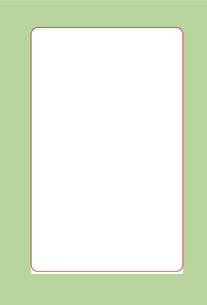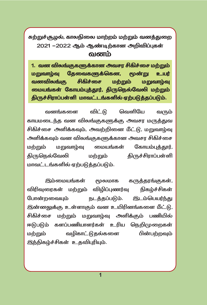## சுற்றுச்சூழல், காலநிலை மாற்றம் மற்றும் வனத்துறை 2021 –2022 ஆம் ஆண்டிற்கான அறிவிப்புகள் வனம்

1. வன விலங்குகளுக்கான அவசர சிகிச்சை மற்றும் மறுவாழ்வு தேவைகளுக்கென, மூன்று உயர் வனவிலங்கு சிகிச்சை மற்றும் மறுவாழ்வு மையங்கள் கோயம்புத்தூர், திருநெல்வேலி மற்றும் திருச்சிராப்பள்ளி மாவட்டங்களில் ஏற்படுத்தப்படும்.

வனந்களை விட்டு வெளியே வரும் காயமடைந்த வன விலங்குகளுக்கு அவசர மருத்துவ சிகிச்சை அளிக்கவும், அவற்றினை மீட்டு, மறுவாழ்வு அளிக்கவும் வன விலங்குகளுக்கான அவசர சிகிச்சை மற்றும் மறுவாழ்வு கோயம்புக்தூர், மையங்கள் திருநெல்வேலி **கிருச்சிராப்பள்ளி** மற்றும் மாவட்டங்களில் ஏற்படுக்கப்படும்.

கருத்தரங்குகள், இம்மையங்கள் மூலமாக விரிவுரைகள் மற்றும் விழிப்புணர்வு **நிகழ்ச்சிகள்** நடத்தப்படும். இடம்பெயர்ந்து போன்றவையும் இன்னலுக்கு உள்ளாகும் வன உயிரினங்களை மீட்டு, சிகிச்சை மற்றும் மறுவாழ்வு அளிக்கும் பணியில் ஈடுபடும் களப்பணியாளர்கள் உரிய நெறிமுறைகள் மற்றும் வழிகாட்டுதல்களை பின்பற்றவும் இந்நிகழ்ச்சிகள் உதவிபுரியும்.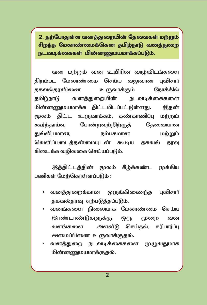2. தற்போதுள்ள வனத்துறையின் தேவைகள் மற்றும் சிறந்த மேலாண்மைக்கென தமிழ்நாடு வனத்துறை நடவடிக்கைகள் மின்னணுமயமாக்கப்படும்.

வன மற்றும் வன உயிரின வாழ்விடங்களை திறம்பட மேலாண்மை செய்ய வலுவான புவிசார் தகவல்கரவினை நோக்கில் உருவாக்கும் வனத்துறையின் நடவடிக்கைகளை கமிம்நாடு மின்னணுமயமாக்க கிட்டமிடப்பட்டுள்ளது. இதன் மூலம் திட்ட உருவாக்கம், கண்காணிப்பு மற்றும் கூர்ந்தாய்வு போன்றவற்றிற்குத் கேவையான குல்லியமான, நம்பகமான மற்றும் வெளிப்படைக்கன்மையுடன் கூடிய ககவல் காவ கிடைக்க வழிவகை செய்யப்படும்.

இக்கிட்டக்கின் மூலம் கீழ்க்கண்ட முக்கிய பணிகள் மேற்கொள்ளப்படும் :

- வனத்துறைக்கான ஒருங்கிணைந்த புவிசார் குகவல்கரவு ஏற்படுக்கப்படும்.
- வனங்களை நிலையாக மேலாண்மை செய்ய இரண்டாண்டுகளுக்கு ஒரு முறை வன அளவீடு செய்தல், சரிபார்ப்பு வளங்களை அமைப்பினை உருவாக்குதல்.
- வனத்துறை நடவடிக்கைகளை முழுவதுமாக மின்னணுமயமாக்குதல்.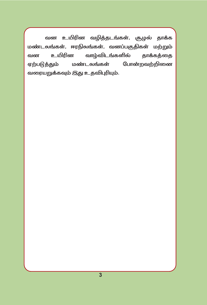வன உயிரின வழித்தடங்கள், சூழல் தாக்க மண்டலங்கள், ஈரநிலங்கள், வனப்பகுதிகள் மற்றும் உயிரின வாழ்விடங்களில் தாக்கத்தை வன ஏற்படுத்தும் மண்டலங்கள் போன்றவற்றினை வரையறுக்கவும் இது உதவிபுரியும்.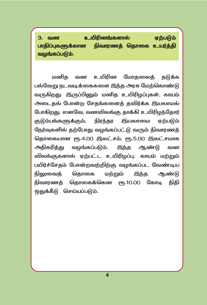உயிரினங்களால் ஏற்படும் З. வன பாதிப்புகளுக்கான நிவாரணத் தொகை உயர்த்தி வழங்கப்படும்.

வன உயிரின மனிக மோதலைத் தடுக்க பல்வேறு நடவடிக்கைகளை இந்த அரசு மேற்கொண்டு வருகிறது. இருப்பினும் மனித உயிரிழப்புகள், காயம் அடைதல் போன்ற சேதங்களைத் தவிர்க்க இயலாமல் போகிறது. எனவே, வனவிலங்கு தாக்கி உயிரிழந்தோர் நிரந்தர இயலாமை குடும்பங்களுக்கும், ஏற்படும் நேர்வுகளில் தற்போது வழங்கப்பட்டு வரும் நிவாரணத் தொகையான ரூ.4.00 இலட்சம், ரூ.5.00 இலட்சமாக அதிகரிக்து வழங்கப்படும். இந்த ஆண்டு வன விலங்குகளால் ஏற்பட்ட உயிரிழப்பு, காயம் மற்றும் பயிர்ச்சேகம் போன்றவற்றிற்கு வழங்கப்பட வேண்டிய நிலுவைக் கொகை மற்றும் இந்த ஆண்டு தொகைக்கென ரூ.10.00 கோடி நிவாரணக் நிதி ஒதுக்கீடு செய்யப்படும்.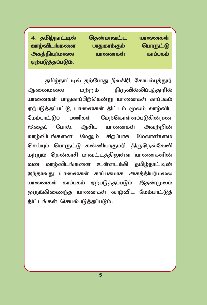தென்மாவட்ட பாதுகாக்கும் யாணைகள்

யாணைகள்

பொருட்டு

காப்பகம்

4. தமிழ்நாட்டில் வாழ்விடங்களை **அகத்தியர்மலை** ஏற்படுத்தப்படும்.

தமிழ்நாட்டில் தற்போது நீலகிரி, கோயம்புத்தூர், கிருவில்லிப்புக்காரில் <u> அணைமலை</u> மற்றும் யானைகள் பாதுகாப்பிற்கென்று யானைகள் காப்பகம் ஏற்படுத்தப்பட்டு, யானைகள் திட்டம் மூலம் வாழ்விட மேம்பாட்டுப் பணிகள் மேற்கொள்ளப்படுகின்றன. இதைப் போல், ஆசிய யானைகள் அவற்றின் வாழ்விடங்களை மேலும் சிறப்பாக மேலாண்மை செய்யும் பொருட்டு கன்னியாகுமரி, திருநெல்வேலி மற்றும் தென்காசி மாவட்டத்திலுள்ள யானைகளின் வன வாழ்விடங்களை உள்ளடக்கி தமிழ்நாட்டின் ஐந்தாவது யானைகள் காப்பகமாக அகக்கியர்மலை யாணைகள் காப்பகம் ஏற்படுத்தப்படும். இதன்மூலம் ஒருங்கிணைந்த யானைகள் வாழ்விட மேம்பாட்டுத் திட்டங்கள் செயல்படுத்தப்படும்.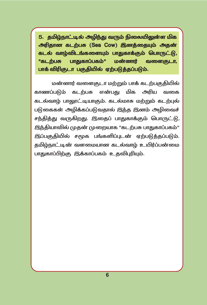5. தமிழ்நாட்டில் அழிந்து வரும் நிலையிலுள்ள மிக அரிதான கடற்பசு (Sea Cow) இனத்தையும் அதன் கடல் வாழ்விடங்களையும் பாதுகாக்கும் பொருட்டு, "கடற்பசு பாதுகாப்பகம்" மன்னார் வளைகுடா, பாக் விரிகுடா பகுதியில் ஏற்படுத்தப்படும்.

மன்னார் வளைகுடா மற்றும் பாக் கடற்பகுதியில் காணப்படும் கடற்பசு என்பது மிக அரிய வகை கடல்வாழ் பாலூட்டியாகும். கடல்மாசு மற்றும் கடற்புல் படுகைகள் அழிக்கப்படுவதால் இந்த இனம் அழிவைச் சந்தித்து வருகிறது. இதைப் பாதுகாக்கும் பொருட்டு, இந்தியாவில் முதன் முறையாக "கடற்பசு பாதுகாப்பகம்" இப்பகுதியில் சமூக பங்களிப்புடன் ஏற்படுத்தப்படும். குமிழ்நாட்டின் வளமையான கடல்வாழ் உயிர்ப்பன்மை பாதுகாப்பிற்கு இக்காப்பகம் உதவிபுரியும்.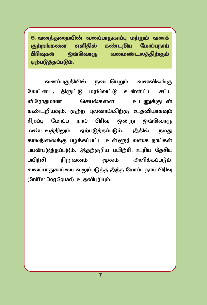6. வனத்துறையின் வனப்பாதுகாப்பு மற்றும் வனக் குற்றங்களை எளிதில் கண்டறிய மோப்பநா ${\rm d}$ பிரிவுகள் ஒவ்வொரு வனமண்டலத்திற்கும் ஏற்படுத்தப்படும்.

வனப்பகுதியில் நடைபெறும் வனவிலங்கு லேட்டை, திருட்டு மரவெட்டு உள்ளிட்ட சட்ட விரோதமான செயல்களை உடனுக்குட $\,$ கண்டறியவும், குற்ற புலனாய்விற்கு உதவியாகவுப் சிறப்பு மோப்ப நாய் பிரிவு ஒன்று ஒவ்வொ( மண்டலத்திலும் ஏற்படுத்தப்படும். இதில் நமது காலநிலைக்கு பழக்கப்பட்ட உள்ளூர் வகை நாய்க $\epsilon$ பயன்படுத்தப்படும். இதற்குரிய பயிற்சி, உரிய தேசிய பயிற்சி நிறுவனம் மூலம் அளிக்கப்படும். வனப்பாதுகாப்பை வலுப்படுத்த இந்த மோப்ப நாய் பிரி $\epsilon$ (Sniffer Dog Squad) உதவிபுரியும்.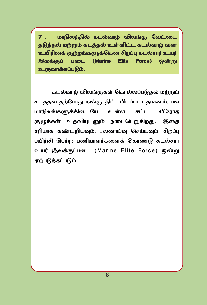மாநிலத்தில் கடல்வாம் விலங்கு வேட்டை  $\overline{7}$  . தடுத்தல் மற்றும் கடத்தல் உள்ளிட்ட கடல்வாழ் வன உயிரினக் குற்றங்களுக்கென சிறப்பு கடல்சார் உயர் இலக்குப் படை (Marine Elite ஒன்று Force) உருவாக்கப்படும்.

கடல்வாழ் விலங்குகள் கொல்லப்படுதல் மற்றும் கடத்தல் தற்போது நன்கு திட்டமிடப்பட்டதாகவும், பல மாநிலங்களுக்கிடையே உள்ள சட்ட விரோக குழுக்கள் உதவியுடனும் நடைபெறுகிறது. இதை சரியாக கண்டறியவும், புலனாய்வு செய்யவும், சிறப்பு பயிற்சி பெற்ற பணியாளர்களைக் கொண்டு கடல்சார் உயர் இலக்குப்படை (Marine Elite Force) ஒன்று ஏற்படுத்தப்படும்.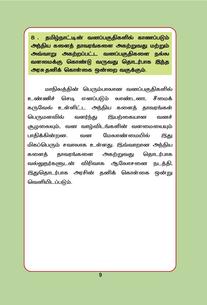தமிம்நாட்டின் வனப்பகுதிகளில் காணப்படும் 8. அந்நிய களைத் தாவரங்களை அகற்றுவது மற்றும் அவ்வாறு அகற்றப்பட்ட வனப்பகுதிகளை நல்ல வளமைக்கு கொண்டு வருவது தொடர்பாக இந்த அரசு தனிக் கொள்கை ஒன்றை வகுக்கும்.

மாநிலத்தின் பெரும்பாலான வனப்பகுதிகளில் உண்ணிச் செடி எனப்படும் லாண்டனா, சீமைக் கருவேல் உள்ளிட்ட அந்நிய களைத் தாவரங்கள் பெருமளவில் வளர்ந்து இயற்கையான வனச் சூழலையும், வன வாழ்விடங்களின் வளமையையும் வன மேலாண்மையில் பாதிக்கின்றன. இது மிகப்பெரும் சவாலாக உள்ளது. இவ்வாறான அந்நிய களைத் தாவரங்களை அகற்றுவது தொடர்பாக வல்லுநர்களுடன் விரிவாக ஆலோசனை நடத்தி, இதுதொடர்பாக அரசின் தனிக் கொள்கை ஒன்று வெளியிடப்படும்.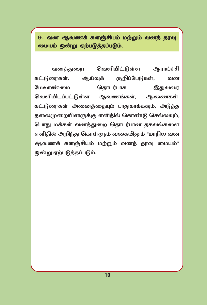9. வன ஆவணக் களஞ்சியம் மற்றும் வனத் தரவு மையம் ஒன்று ஏற்படுத்தப்படும்.

வெளியிட்டுள்ள ஆராய்ச்சி வனக்துறை கட்டுரைகள், ஆய்வுக் குறிப்பேடுகள், வன தொடர்பாக மேலாண்மை இதுவரை வெளியிடப்பட்டுள்ள ஆவணங்கள், ஆணைகள், கட்டுரைகள் அனைத்தையும் பாதுகாக்கவும், அடுத்த தலைமுறையினருக்கு எளிதில் கொண்டு செல்லவும், பொது மக்கள் வனத்துறை தொடர்பான தகவல்களை எளிதில் அறிந்து கொள்ளும் வகையிலும் "மாநில வன ஆவணக் களஞ்சியம் மற்றும் வனத் தரவு மையம்" ஒன்று ஏற்படுத்தப்படும்.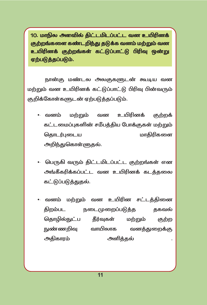10. மாநில அளவில் திட்டமிடப்பட்ட வன உயிரினக் குற்றங்களை கண்டறிந்து தடுக்க வனம் மற்றும் வன உயிரினக் குற்றங்கள் கட்டுப்பாட்டு பிரிவு ஒன்று ஏற்படுத்தப்படும்.

நான்கு மண்டல அலகுகளுடன் கூடிய வன மற்றும் வன உயிரினக் கட்டுப்பாட்டு பிரிவு பின்வரும் குறிக்கோள்களுடன் ஏற்படுத்தப்படும்.

- வன உயிரினக் • வனம் மற்றும் குற்றக் கட்டமைப்புகளின் சமீபத்திய போக்குகள் மற்றும் மாகிரிகளை கொடர்புடைய அறிந்துகொள்ளுகல்.
- பெருகி வரும் திட்டமிடப்பட்ட குற்றங்கள் என அங்கீகரிக்கப்பட்ட வன உயிரினக் கடக்கலை கட்டுப்படுத்துதல்.
- வனம் மற்றும் வன உயிரின சட்டத்தினை திறம்பட நடைமுறைப்படுத்த தகவல் தொழில்நுட்ப தீர்வுகள் மற்றும் குற்ற நுண்ணறிவு வாயிலாக வனக்குறைக்கு அதிகாரம் அளிக்கல்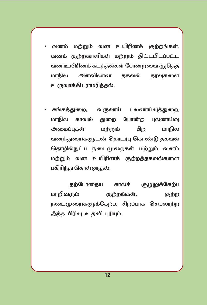வனம் மற்றும் வன உயிரினக் குற்றங்கள், வனக் குற்றவாளிகள் மற்றும் திட்டமிடப்பட்ட வன உயிரினக் கடத்தல்கள் போன்றவை குறித்த அளவிலான மாநில தகவல் தரவுகளை உருவாக்கி பராமரிக்கல்.

• சுங்கத்துறை, வருவாய் புலனாய்வுத்துறை, மாநில காவல் துறை போன்ற புலனாய்வு ிற மற்றும் மாநில அமைப்புகள் வனத்துறைகளுடன் தொடர்பு கொண்டு தகவல் தொழில்நுட்ப நடைமுறைகள் மற்றும் வனம் மற்றும் வன உயிரினக் குற்றத்தகவல்களை பகிரிந்து கொள்ளுதல்.

தற்போதைய ருழலுக்கேற்**ப** காலச் மாறிவரும் குற்றங்கள், குற்ற நடைமுறைகளுக்கேற்ப, சிறப்பாக செயலாற்ற இந்த பிரிவு உதவி புரியும்.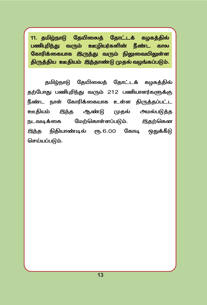11. தமிழ்நாடு தேயிலைத் தோட்டக் கழகத்தில் பணிபுரிந்து வரும் ஊழியர்களின் நீண்ட கால கோரிக்கையாக இருந்து வரும் நிலுவையிலுள்ள திருத்திய ஊதியம் இந்தாண்டு முதல் வழங்கப்படும்.

தமிழ்நாடு தேயிலைத் தோட்டக் கழகத்தில் தற்போது பணிபுரிந்து வரும் 212 பணியாளர்களுக்கு நீண்ட நாள் கோரிக்கையாக உள்ள திருத்தப்பட்ட ஊதியம் இந்த ஆண்டு முதல் அமல்படுத்த நடவடிக்கை மேற்கொள்ளப்படும். இதற்கென இந்த நிதியாண்டில் ரூ.6.00 கோடி ஒதுக்கீடு செய்யப்படும்.